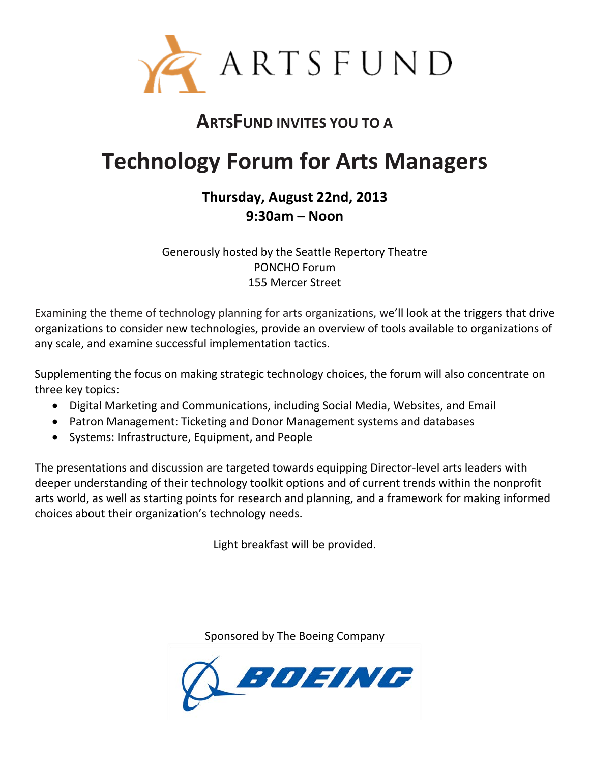

## **ARTSFUND INVITES YOU TO A**

# **Technology Forum for Arts Managers**

### **Thursday, August 22nd, 2013 9:30am – Noon**

Generously hosted by the Seattle Repertory Theatre PONCHO Forum 155 Mercer Street

Examining the theme of technology planning for arts organizations, we'll look at the triggers that drive organizations to consider new technologies, provide an overview of tools available to organizations of any scale, and examine successful implementation tactics.

Supplementing the focus on making strategic technology choices, the forum will also concentrate on three key topics:

- Digital Marketing and Communications, including Social Media, Websites, and Email
- Patron Management: Ticketing and Donor Management systems and databases
- Systems: Infrastructure, Equipment, and People

The presentations and discussion are targeted towards equipping Director-level arts leaders with deeper understanding of their technology toolkit options and of current trends within the nonprofit arts world, as well as starting points for research and planning, and a framework for making informed choices about their organization's technology needs.

Light breakfast will be provided.

Sponsored by The Boeing Company